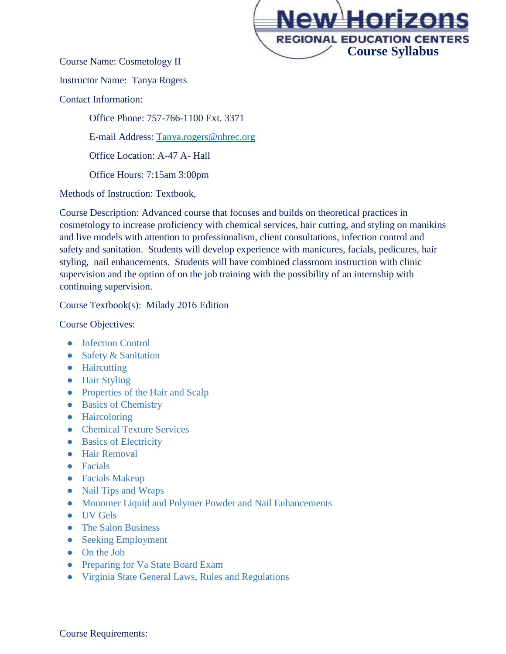

Course Name: Cosmetology II

Instructor Name: Tanya Rogers

Contact Information:

Office Phone: 757-766-1100 Ext. 3371 E-mail Address: [Tanya.rogers@nhrec.org](mailto:Tanya.rogers@nhrec.org) Office Location: A-47 A- Hall Office Hours: 7:15am 3:00pm

Methods of Instruction: Textbook,

Course Description: Advanced course that focuses and builds on theoretical practices in cosmetology to increase proficiency with chemical services, hair cutting, and styling on manikins and live models with attention to professionalism, client consultations, infection control and safety and sanitation. Students will develop experience with manicures, facials, pedicures, hair styling, nail enhancements. Students will have combined classroom instruction with clinic supervision and the option of on the job training with the possibility of an internship with continuing supervision.

Course Textbook(s): Milady 2016 Edition

Course Objectives:

- Infection Control
- Safety & Sanitation
- Haircutting
- Hair Styling
- Properties of the Hair and Scalp
- Basics of Chemistry
- Haircoloring
- Chemical Texture Services
- Basics of Electricity
- Hair Removal
- Facials
- Facials Makeup
- Nail Tips and Wraps
- Monomer Liquid and Polymer Powder and Nail Enhancements
- UV Gels
- The Salon Business
- Seeking Employment
- On the Job
- Preparing for Va State Board Exam
- Virginia State General Laws, Rules and Regulations

Course Requirements: